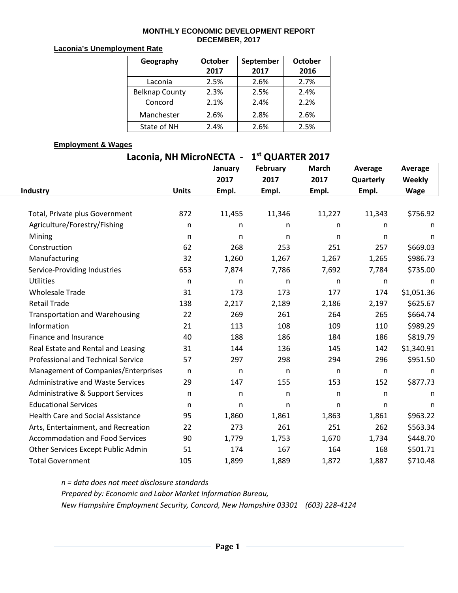### **MONTHLY ECONOMIC DEVELOPMENT REPORT DECEMBER, 2017**

### **Laconia's Unemployment Rate**

| Geography             | <b>October</b> | September | <b>October</b> |  |  |
|-----------------------|----------------|-----------|----------------|--|--|
|                       | 2017           | 2017      | 2016           |  |  |
| Laconia               | 2.5%           | 2.6%      | 2.7%           |  |  |
| <b>Belknap County</b> | 2.3%           | 2.5%      | 2.4%           |  |  |
| Concord               | 2.1%           | 2.4%      | 2.2%           |  |  |
| Manchester            | 2.6%           | 2.8%      | 2.6%           |  |  |
| State of NH           | 2.4%           | 2.6%      | 2.5%           |  |  |

### **Employment & Wages**

# **Laconia, NH MicroNECTA - 1st QUARTER 2017**

|                                           |              | January | February     | <b>March</b> | Average   | <b>Average</b> |
|-------------------------------------------|--------------|---------|--------------|--------------|-----------|----------------|
|                                           |              | 2017    | 2017         | 2017         | Quarterly | <b>Weekly</b>  |
| Industry                                  | <b>Units</b> | Empl.   | Empl.        | Empl.        | Empl.     | <b>Wage</b>    |
|                                           |              |         |              |              |           |                |
| Total, Private plus Government            | 872          | 11,455  | 11,346       | 11,227       | 11,343    | \$756.92       |
| Agriculture/Forestry/Fishing              | n            | n       | n            | n            | n         | n.             |
| Mining                                    | n            | n       | n            | n            | n         | n              |
| Construction                              | 62           | 268     | 253          | 251          | 257       | \$669.03       |
| Manufacturing                             | 32           | 1,260   | 1,267        | 1,267        | 1,265     | \$986.73       |
| Service-Providing Industries              | 653          | 7,874   | 7,786        | 7,692        | 7,784     | \$735.00       |
| <b>Utilities</b>                          | n            | n       | n            | $\mathsf{n}$ | n         | n              |
| <b>Wholesale Trade</b>                    | 31           | 173     | 173          | 177          | 174       | \$1,051.36     |
| <b>Retail Trade</b>                       | 138          | 2,217   | 2,189        | 2,186        | 2,197     | \$625.67       |
| <b>Transportation and Warehousing</b>     | 22           | 269     | 261          | 264          | 265       | \$664.74       |
| Information                               | 21           | 113     | 108          | 109          | 110       | \$989.29       |
| Finance and Insurance                     | 40           | 188     | 186          | 184          | 186       | \$819.79       |
| Real Estate and Rental and Leasing        | 31           | 144     | 136          | 145          | 142       | \$1,340.91     |
| <b>Professional and Technical Service</b> | 57           | 297     | 298          | 294          | 296       | \$951.50       |
| Management of Companies/Enterprises       | n            | n       | $\mathsf{n}$ | $\mathsf{n}$ | n         | n              |
| <b>Administrative and Waste Services</b>  | 29           | 147     | 155          | 153          | 152       | \$877.73       |
| Administrative & Support Services         | n            | n       | n            | $\mathsf{n}$ | n         | n              |
| <b>Educational Services</b>               | n            | n       | n            | $\mathsf{n}$ | n         | n              |
| <b>Health Care and Social Assistance</b>  | 95           | 1,860   | 1,861        | 1,863        | 1,861     | \$963.22       |
| Arts, Entertainment, and Recreation       | 22           | 273     | 261          | 251          | 262       | \$563.34       |
| <b>Accommodation and Food Services</b>    | 90           | 1,779   | 1,753        | 1,670        | 1,734     | \$448.70       |
| Other Services Except Public Admin        | 51           | 174     | 167          | 164          | 168       | \$501.71       |
| <b>Total Government</b>                   | 105          | 1,899   | 1,889        | 1,872        | 1,887     | \$710.48       |

*n = data does not meet disclosure standards Prepared by: Economic and Labor Market Information Bureau, New Hampshire Employment Security, Concord, New Hampshire 03301 (603) 228-4124*